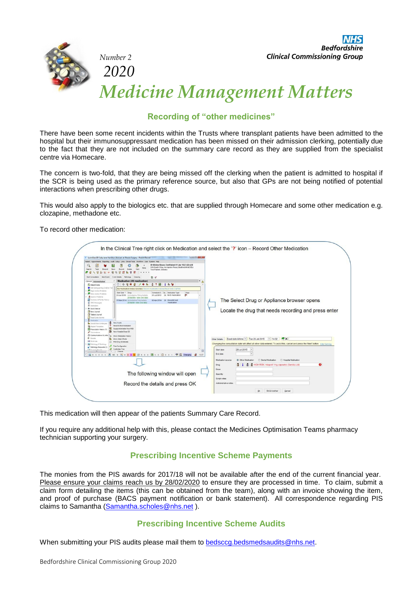

*Number 2* 

*2020*

**Bedfordshire Clinical Commissioning Group** 

# *Medicine Management Matters*

# **Recording of "other medicines"**

There have been some recent incidents within the Trusts where transplant patients have been admitted to the hospital but their immunosuppressant medication has been missed on their admission clerking, potentially due to the fact that they are not included on the summary care record as they are supplied from the specialist centre via Homecare.

The concern is two-fold, that they are being missed off the clerking when the patient is admitted to hospital if the SCR is being used as the primary reference source, but also that GPs are not being notified of potential interactions when prescribing other drugs.

This would also apply to the biologics etc. that are supplied through Homecare and some other medication e.g. clozapine, methadone etc.

To record other medication:

| Q<br>Task<br>Search                                       | Mr Mickey Mouse-TestPatient 01 Jan 1957 (58 y) M<br>666 South Wing, Kempston Road, Bedford MK42 9DJ<br>Details<br>Next<br>Record            |                                                                                                                                  |
|-----------------------------------------------------------|---------------------------------------------------------------------------------------------------------------------------------------------|----------------------------------------------------------------------------------------------------------------------------------|
|                                                           | Test Patient, Delivery<br>Ω<br>B<br>$\circ$<br><br>õ.                                                                                       |                                                                                                                                  |
| Start Consultation<br>Newt Fuent<br><b>Fuent Details</b>  | 日夕<br>Drawing<br>Pathology                                                                                                                  |                                                                                                                                  |
| Clinical Administrative                                   | $=$ $\wedge$<br><b>Medication (All medication)</b>                                                                                          |                                                                                                                                  |
| <b>C</b> Patient Home<br>C Ext Safeguarding Chidren Ten   | 8 * 0 0 0<br>O.<br>6.5<br>8<br>$\overline{2}$<br>R<br>25 19<br>i de                                                                         |                                                                                                                                  |
| <b>W</b> Major Active Problems                            | No medication review recorded. Record medication review Read code (XaF8d)<br>Flags<br>Start Date T Drug<br>Scheduled E Da., Medication Type |                                                                                                                                  |
| <b>W</b> Minor Active Problems<br>A machine Problems      | BK<br>31 Jul 2012 28 NHS medication<br>03 Jul 2012 Amlodipine 10mg tablets                                                                  |                                                                                                                                  |
| <b>BI</b> Summary & Family History                        | 28 tablets - take one daily<br>05 Mar 2014 Amiodoine Smotsblets<br>02 Apr 2014 28 Unconfirmed                                               | The Select Drug or Appliance browser opens                                                                                       |
| <b>II</b> SMS Messages<br>Il Reminders                    | medication<br>28 tablet - take one daily                                                                                                    |                                                                                                                                  |
| <b>&amp;</b> Quick Glance                                 |                                                                                                                                             |                                                                                                                                  |
| New Journal                                               |                                                                                                                                             | Locate the drug that needs recording and press enter                                                                             |
| Tabbed Journal<br>Read Code Journal                       |                                                                                                                                             |                                                                                                                                  |
| 8 Medication                                              |                                                                                                                                             |                                                                                                                                  |
| New Acute<br><b>DA</b> Sensityties & Alerga               |                                                                                                                                             |                                                                                                                                  |
|                                                           | Record Other Medication                                                                                                                     |                                                                                                                                  |
| <b>Co</b> Repeat Templates<br>PI Prescription History (7) | Supply/Administer from PGD                                                                                                                  |                                                                                                                                  |
| œ<br>Vaccinations                                         | New Variable Dose CD                                                                                                                        |                                                                                                                                  |
| Communications & Letter<br>'n<br><b>Q</b> Recalls         | Show Medication History<br><b>Ch.</b> Show Side Effects                                                                                     | Exact date & time . Tue 28 Jul 2015<br>$-14:32$<br>$\mathbf{q} \times$<br>Other Details                                          |
| - Referrals                                               | <b>Print Drug Schedules</b>                                                                                                                 |                                                                                                                                  |
| Pathslopy & Radclopy<br>Pathology Requests (S)            | Tree Configuration                                                                                                                          | Changing the consultation date will affect all other data entered. To avoid this, cancel and press the 'Next' button Hide Warnin |
| Jed Monada Bande                                          | Customise Tree<br>$2$ haves                                                                                                                 | 28 Jul 2015<br>Start date                                                                                                        |
|                                                           | Wio 3 0 0 3 B 165 0 12 0 0 10 B 6 0 0 B 3 0 1 0 0 0 1 P & Changing @ 1337                                                                   | End date                                                                                                                         |
|                                                           |                                                                                                                                             | Medication source<br><b>Dental Medication</b><br><b>C: Hospital Medication</b><br><b>Q</b> Other Medication                      |
|                                                           |                                                                                                                                             | Drug                                                                                                                             |
|                                                           |                                                                                                                                             | HIGH RISK: Adoport 1mg capsules (Sandoz Ltd)                                                                                     |
|                                                           |                                                                                                                                             | Dose                                                                                                                             |
|                                                           | The following window will open                                                                                                              | Quantity                                                                                                                         |
|                                                           | Record the details and press OK                                                                                                             | Script notes<br>Administrative notes                                                                                             |

This medication will then appear of the patients Summary Care Record.

If you require any additional help with this, please contact the Medicines Optimisation Teams pharmacy technician supporting your surgery.

## **Prescribing Incentive Scheme Payments**

The monies from the PIS awards for 2017/18 will not be available after the end of the current financial year. Please ensure your claims reach us by 28/02/2020 to ensure they are processed in time. To claim, submit a claim form detailing the items (this can be obtained from the team), along with an invoice showing the item, and proof of purchase (BACS payment notification or bank statement). All correspondence regarding PIS claims to Samantha [\(Samantha.scholes@nhs.net](mailto:Samantha.scholes@nhs.net) ).

## **Prescribing Incentive Scheme Audits**

When submitting your PIS audits please mail them to [bedsccg.bedsmedsaudits@nhs.net.](mailto:bedsccg.bedsmedsaudits@nhs.net)